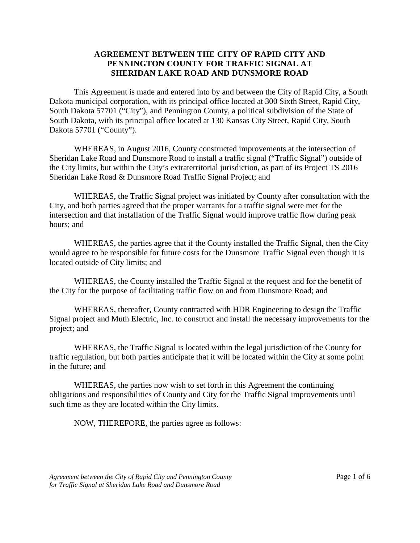## **AGREEMENT BETWEEN THE CITY OF RAPID CITY AND PENNINGTON COUNTY FOR TRAFFIC SIGNAL AT SHERIDAN LAKE ROAD AND DUNSMORE ROAD**

This Agreement is made and entered into by and between the City of Rapid City, a South Dakota municipal corporation, with its principal office located at 300 Sixth Street, Rapid City, South Dakota 57701 ("City"), and Pennington County, a political subdivision of the State of South Dakota, with its principal office located at 130 Kansas City Street, Rapid City, South Dakota 57701 ("County").

WHEREAS, in August 2016, County constructed improvements at the intersection of Sheridan Lake Road and Dunsmore Road to install a traffic signal ("Traffic Signal") outside of the City limits, but within the City's extraterritorial jurisdiction, as part of its Project TS 2016 Sheridan Lake Road & Dunsmore Road Traffic Signal Project; and

WHEREAS, the Traffic Signal project was initiated by County after consultation with the City, and both parties agreed that the proper warrants for a traffic signal were met for the intersection and that installation of the Traffic Signal would improve traffic flow during peak hours; and

WHEREAS, the parties agree that if the County installed the Traffic Signal, then the City would agree to be responsible for future costs for the Dunsmore Traffic Signal even though it is located outside of City limits; and

WHEREAS, the County installed the Traffic Signal at the request and for the benefit of the City for the purpose of facilitating traffic flow on and from Dunsmore Road; and

WHEREAS, thereafter, County contracted with HDR Engineering to design the Traffic Signal project and Muth Electric, Inc. to construct and install the necessary improvements for the project; and

WHEREAS, the Traffic Signal is located within the legal jurisdiction of the County for traffic regulation, but both parties anticipate that it will be located within the City at some point in the future; and

WHEREAS, the parties now wish to set forth in this Agreement the continuing obligations and responsibilities of County and City for the Traffic Signal improvements until such time as they are located within the City limits.

NOW, THEREFORE, the parties agree as follows: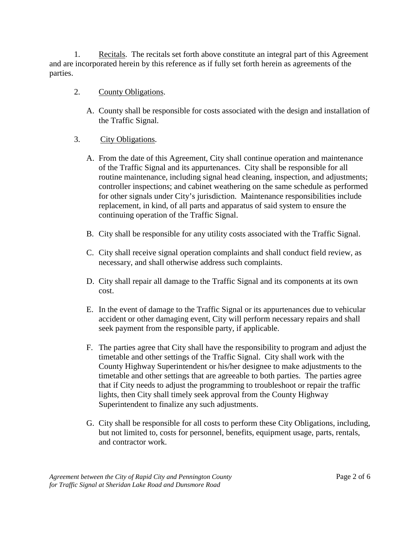1. Recitals. The recitals set forth above constitute an integral part of this Agreement and are incorporated herein by this reference as if fully set forth herein as agreements of the parties.

- 2. County Obligations.
	- A. County shall be responsible for costs associated with the design and installation of the Traffic Signal.
- 3. City Obligations.
	- A. From the date of this Agreement, City shall continue operation and maintenance of the Traffic Signal and its appurtenances. City shall be responsible for all routine maintenance, including signal head cleaning, inspection, and adjustments; controller inspections; and cabinet weathering on the same schedule as performed for other signals under City's jurisdiction. Maintenance responsibilities include replacement, in kind, of all parts and apparatus of said system to ensure the continuing operation of the Traffic Signal.
	- B. City shall be responsible for any utility costs associated with the Traffic Signal.
	- C. City shall receive signal operation complaints and shall conduct field review, as necessary, and shall otherwise address such complaints.
	- D. City shall repair all damage to the Traffic Signal and its components at its own cost.
	- E. In the event of damage to the Traffic Signal or its appurtenances due to vehicular accident or other damaging event, City will perform necessary repairs and shall seek payment from the responsible party, if applicable.
	- F. The parties agree that City shall have the responsibility to program and adjust the timetable and other settings of the Traffic Signal. City shall work with the County Highway Superintendent or his/her designee to make adjustments to the timetable and other settings that are agreeable to both parties. The parties agree that if City needs to adjust the programming to troubleshoot or repair the traffic lights, then City shall timely seek approval from the County Highway Superintendent to finalize any such adjustments.
	- G. City shall be responsible for all costs to perform these City Obligations, including, but not limited to, costs for personnel, benefits, equipment usage, parts, rentals, and contractor work.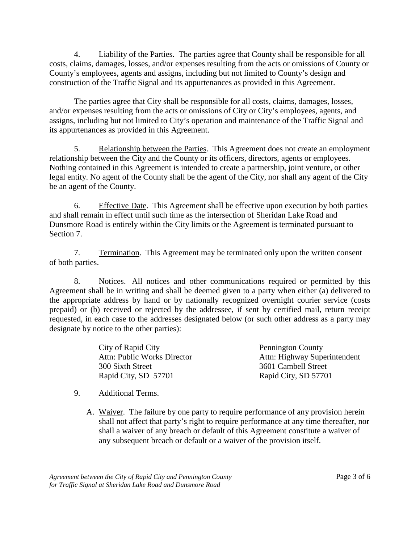4. Liability of the Parties. The parties agree that County shall be responsible for all costs, claims, damages, losses, and/or expenses resulting from the acts or omissions of County or County's employees, agents and assigns, including but not limited to County's design and construction of the Traffic Signal and its appurtenances as provided in this Agreement.

The parties agree that City shall be responsible for all costs, claims, damages, losses, and/or expenses resulting from the acts or omissions of City or City's employees, agents, and assigns, including but not limited to City's operation and maintenance of the Traffic Signal and its appurtenances as provided in this Agreement.

5. Relationship between the Parties. This Agreement does not create an employment relationship between the City and the County or its officers, directors, agents or employees. Nothing contained in this Agreement is intended to create a partnership, joint venture, or other legal entity. No agent of the County shall be the agent of the City, nor shall any agent of the City be an agent of the County.

6. Effective Date. This Agreement shall be effective upon execution by both parties and shall remain in effect until such time as the intersection of Sheridan Lake Road and Dunsmore Road is entirely within the City limits or the Agreement is terminated pursuant to Section 7.

7. Termination. This Agreement may be terminated only upon the written consent of both parties.

8. Notices. All notices and other communications required or permitted by this Agreement shall be in writing and shall be deemed given to a party when either (a) delivered to the appropriate address by hand or by nationally recognized overnight courier service (costs prepaid) or (b) received or rejected by the addressee, if sent by certified mail, return receipt requested, in each case to the addresses designated below (or such other address as a party may designate by notice to the other parties):

| City of Rapid City          | <b>Pennington County</b>     |
|-----------------------------|------------------------------|
| Attn: Public Works Director | Attn: Highway Superintendent |
| 300 Sixth Street            | 3601 Cambell Street          |
| Rapid City, SD 57701        | Rapid City, SD 57701         |

## 9. Additional Terms.

A. Waiver. The failure by one party to require performance of any provision herein shall not affect that party's right to require performance at any time thereafter, nor shall a waiver of any breach or default of this Agreement constitute a waiver of any subsequent breach or default or a waiver of the provision itself.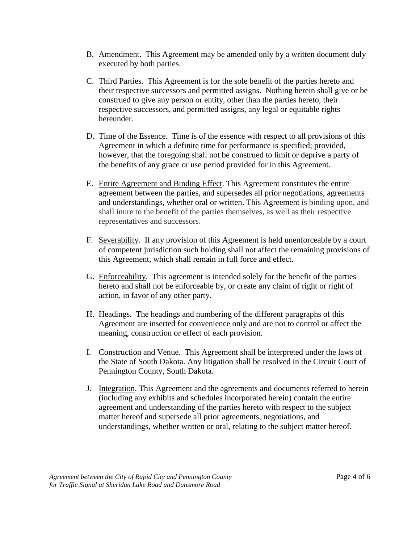- B. Amendment. This Agreement may be amended only by a written document duly executed by both parties.
- C. Third Parties. This Agreement is for the sole benefit of the parties hereto and their respective successors and permitted assigns. Nothing herein shall give or be construed to give any person or entity, other than the parties hereto, their respective successors, and permitted assigns, any legal or equitable rights hereunder.
- D. Time of the Essence. Time is of the essence with respect to all provisions of this Agreement in which a definite time for performance is specified; provided, however, that the foregoing shall not be construed to limit or deprive a party of the benefits of any grace or use period provided for in this Agreement.
- E. Entire Agreement and Binding Effect. This Agreement constitutes the entire agreement between the parties, and supersedes all prior negotiations, agreements and understandings, whether oral or written. This Agreement is binding upon, and shall inure to the benefit of the parties themselves, as well as their respective representatives and successors.
- F. Severability. If any provision of this Agreement is held unenforceable by a court of competent jurisdiction such holding shall not affect the remaining provisions of this Agreement, which shall remain in full force and effect.
- G. Enforceability. This agreement is intended solely for the benefit of the parties hereto and shall not be enforceable by, or create any claim of right or right of action, in favor of any other party.
- H. Headings. The headings and numbering of the different paragraphs of this Agreement are inserted for convenience only and are not to control or affect the meaning, construction or effect of each provision.
- I. Construction and Venue. This Agreement shall be interpreted under the laws of the State of South Dakota. Any litigation shall be resolved in the Circuit Court of Pennington County, South Dakota.
- J. Integration. This Agreement and the agreements and documents referred to herein (including any exhibits and schedules incorporated herein) contain the entire agreement and understanding of the parties hereto with respect to the subject matter hereof and supersede all prior agreements, negotiations, and understandings, whether written or oral, relating to the subject matter hereof.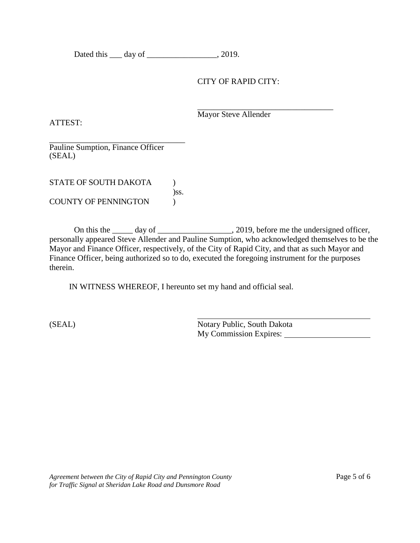Dated this \_\_\_\_ day of \_\_\_\_\_\_\_\_\_\_\_\_\_\_\_\_\_, 2019.

## CITY OF RAPID CITY:

ATTEST:

\_\_\_\_\_\_\_\_\_\_\_\_\_\_\_\_\_\_\_\_\_\_\_\_\_\_\_\_\_\_\_\_\_ Mayor Steve Allender

\_\_\_\_\_\_\_\_\_\_\_\_\_\_\_\_\_\_\_\_\_\_\_\_\_\_\_\_\_\_\_\_\_ Pauline Sumption, Finance Officer (SEAL)

STATE OF SOUTH DAKOTA )ss. COUNTY OF PENNINGTON )

On this the \_\_\_\_\_ day of \_\_\_\_\_\_\_\_\_\_\_\_\_\_\_\_, 2019, before me the undersigned officer, personally appeared Steve Allender and Pauline Sumption, who acknowledged themselves to be the Mayor and Finance Officer, respectively, of the City of Rapid City, and that as such Mayor and Finance Officer, being authorized so to do, executed the foregoing instrument for the purposes therein.

IN WITNESS WHEREOF, I hereunto set my hand and official seal.

(SEAL) Notary Public, South Dakota My Commission Expires: